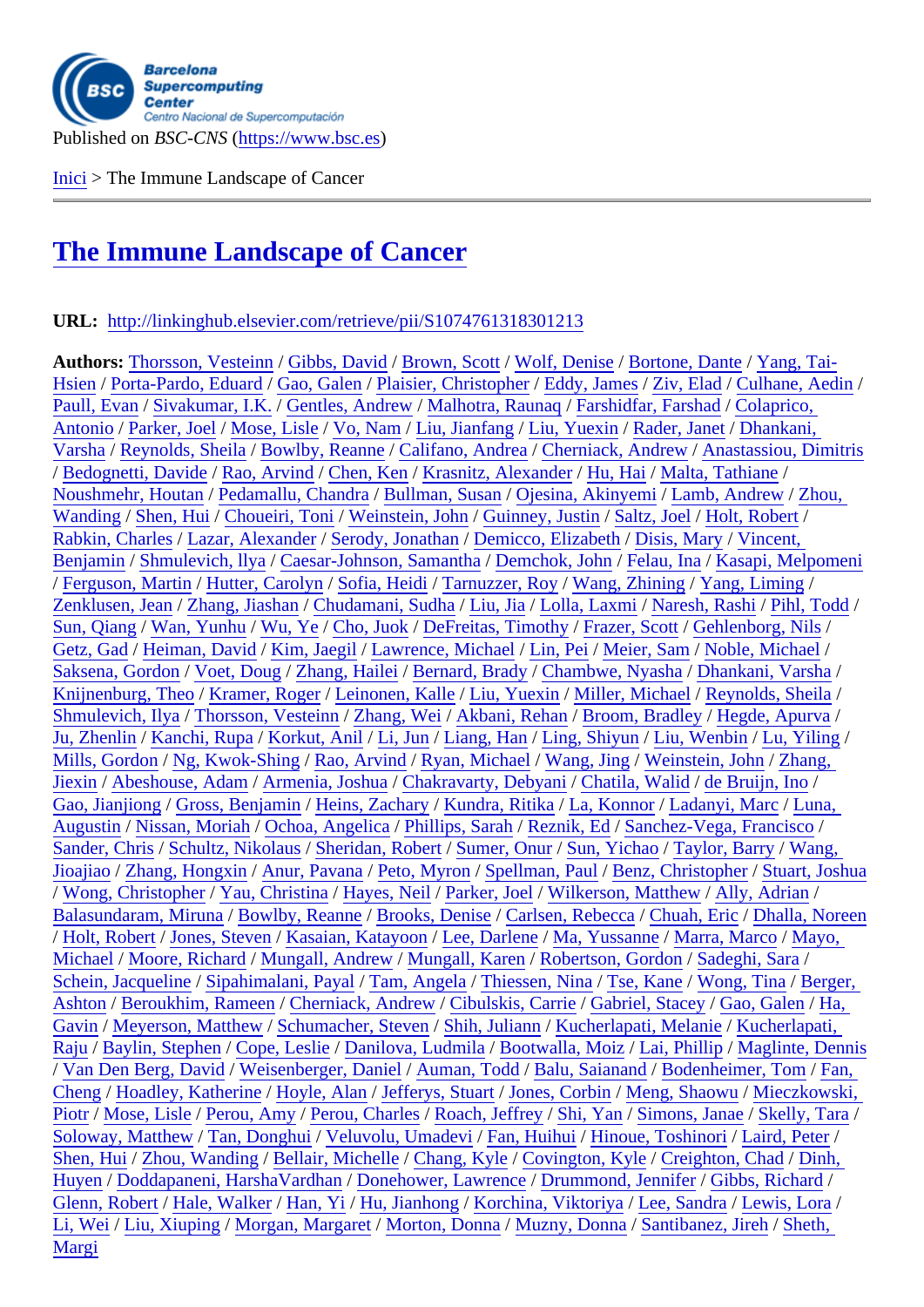Inici > The Immune Landscape of Cancer

## [The](https://www.bsc.es/ca) Immune Landscape of Cancer

## [URL: http://linkinghub.elsevier.com/retrieve/pii/S10](https://www.bsc.es/ca/research-and-development/publications/the-immune-landscape-cancer-0)74761318301213

Authors: Thorsson, Vesteinh Gibbs, David Brown, Scott Wolf, Denise Bortone, Dante Yang, Tai-Hsien/Porta-Pardo, Eduard Gao, Galen Plaisier, Christopher Eddy, James Ziv, Elad / Culhane, Aedin Paull, Evan Sivakumar, I.K. Gentles, Andrew Malhotra, Rauna¢ Farshidfar, Farshad Colaprico, Antonio / Parker, Joel Mose, [Lisle / Vo, Na](https://www.bsc.es/ca/research-and-development/publications?author=12401)[m / Liu, Jianfa](https://www.bsc.es/ca/research-and-development/publications?author=12413)ng Liu, Yuexin / Rader, Janet Dhankani, [Varsh](https://www.bsc.es/ca/research-and-development/publications?author=12416)a / Reynolds, Sheil & B[owlby, Rea](https://www.bsc.es/ca/research-and-development/publications?author=11812)nne Califano, Andrea [Cherniack, A](https://www.bsc.es/ca/research-and-development/publications?author=12418)ndrew Ana[stassiou, Dimit](https://www.bsc.es/ca/research-and-development/publications?author=12420)ris [/ Bedognet](https://www.bsc.es/ca/research-and-development/publications?author=12421)ti, Davide Rao, Arvind/ Chen, Ken [Krasnitz, Alexand](https://www.bsc.es/ca/research-and-development/publications?author=12424)er Hu, Hai / Malta, Tathiane [Noushm](https://www.bsc.es/ca/research-and-development/publications?author=11655)ehr, Houtan P[edamallu, C](https://www.bsc.es/ca/research-and-development/publications?author=11837)handr Bullman, Susan [Ojesina, Akin](https://www.bsc.es/ca/research-and-development/publications?author=11726)yem / Lamb, [A](https://www.bsc.es/ca/research-and-development/publications?author=11655)ndrew Zhou, [Wandi](https://www.bsc.es/ca/research-and-development/publications?author=11722)ng/Shen, Hui/Choueiri, Toni/Weinstein, John Guinney, Justin Saltz, Joel Holt, Robert/ Rabkin, Charles Laz[ar, Alexande](https://www.bsc.es/ca/research-and-development/publications?author=11743)r [Serody, J](https://www.bsc.es/ca/research-and-development/publications?author=11684)onathan Demicco, Elizabeth Disis, Mary/ Vincent, Benjamin/ Shmulevich, Ilya Caesar-Joh[nson, Samanth](https://www.bsc.es/ca/research-and-development/publications?author=12436)a emchok, John Felau, Ina Kasapi, M[elpom](https://www.bsc.es/ca/research-and-development/publications?author=11851)eni [/ Ferguso](https://www.bsc.es/ca/research-and-development/publications?author=11851)n, Martin Hutter, Carolyn [Sofia, Heidi / Tar](https://www.bsc.es/ca/research-and-development/publications?author=11746)nuzzer, Roy Wang, Zhining [Yang, Liming](https://www.bsc.es/ca/research-and-development/publications?author=12442) / [Zenklusen, Jea](https://www.bsc.es/ca/research-and-development/publications?author=12443)h Zha[n](https://www.bsc.es/ca/research-and-development/publications?author=11685)g, Jiashah C[hudamani, Sudh](https://www.bsc.es/ca/research-and-development/publications?author=12444)a [Liu, Jia / Lolla, Laxm](https://www.bsc.es/ca/research-and-development/publications?author=12445)[i / Naresh, R](https://www.bsc.es/ca/research-and-development/publications?author=12446)ashi Pihl, Todd / [Sun, Qian](https://www.bsc.es/ca/research-and-development/publications?author=12410)g Wan, Yunhu Wu, Ye / Cho, Juol DeFreitas, Timothy Frazer, Scott Gehlenborg, Nils Getz, Gad Heiman, David Kim, Jaegil Lawrence, Michael Lin, [Pei / Meier, Sam](https://www.bsc.es/ca/research-and-development/publications?author=11697) Noble, Michael [Saksena, Gord](https://www.bsc.es/ca/research-and-development/publications?author=11699)oh Voet, Doug Zha[n](https://www.bsc.es/ca/research-and-development/publications?author=11700)g, Haile VBernar[d, Brad](https://www.bsc.es/ca/research-and-development/publications?author=11702)y [Chambwe, N](https://www.bsc.es/ca/research-and-development/publications?author=11703)yash a Dhankani, Varsh a [Knijnenbur](https://www.bsc.es/ca/research-and-development/publications?author=11706)g, Thed Kram[er, Roge](https://www.bsc.es/ca/research-and-development/publications?author=11708)r [Leinonen](https://www.bsc.es/ca/research-and-development/publications?author=11709), Kalle Liu, Yuexin / [Miller, Micha](https://www.bsc.es/ca/research-and-development/publications?author=11711)el [/ Reynolds, She](https://www.bsc.es/ca/research-and-development/publications?author=11712)ila [Shmulevi](https://www.bsc.es/ca/research-and-development/publications?author=10653)ch, Ilya Thorsson, Vesteinh Zhang, Wei Akbani, Rehan Br[oom, Bradl](https://www.bsc.es/ca/research-and-development/publications?author=11715)ey Hegde, Apurva [Ju, Zhenlin / Kan](https://www.bsc.es/ca/research-and-development/publications?author=11717)chi, Rupa Ko[rkut, Anil / Li,](https://www.bsc.es/ca/research-and-development/publications?author=11719) J[un / Liang, Han](https://www.bsc.es/ca/research-and-development/publications?author=11720) / [Ling, Shiyun / Liu,](https://www.bsc.es/ca/research-and-development/publications?author=11721) [Wenbin / Lu, Yiling](https://www.bsc.es/ca/research-and-development/publications?author=11722) / Mills, Gordon/ Ng, Kwok-Shing/ Rao, Arvind/ Ryan, Michael Wang, Jing Weinstein, John Zhang, Jiexin/ Abeshouse, Adam Armenia, Joshua Chakr[avarty, Debyan](https://www.bsc.es/ca/research-and-development/publications?author=11732)i Chatila, Walid de Bruijn, Ino [Gao, Jianj](https://www.bsc.es/ca/research-and-development/publications?author=11735)iong Gross, Benjamin Heins, [Zachar](https://www.bsc.es/ca/research-and-development/publications?author=11738)yKundra, Ritika La, Konnor Ladanyi, Marc Luna, Augustin/Nissan, Moriah Ochoa, Angelica Phillips, Sarah Reznik, Ed S[anchez-Vega, F](https://www.bsc.es/ca/research-and-development/publications?author=11746)rancisco [Sande](https://www.bsc.es/ca/research-and-development/publications?author=11747)r, Chris Schultz, Nikolaus Sheridan, Robert Sumer, Onur Sun, Yichao Taylor, Barry/ Wang, Jioajiao/ Zhang, Hongxin Anur, Pavana Peto, Myron Spellman, Paul Benz, Christopher Stu[art, Jo](https://www.bsc.es/ca/research-and-development/publications?author=11758)shua [/ Wong,](https://www.bsc.es/ca/research-and-development/publications?author=11758) Christopher Yau, Christina Hayes, Neil Parker, Joel Wilkerson, Matthew Ally, Adrian / [Balasundara](https://www.bsc.es/ca/research-and-development/publications?author=11764)m, Miruna Bowlby, Reanne Brooks, Denise Carlsen, Rebecca Chuah, Eric Dha[lla, Nor](https://www.bsc.es/ca/research-and-development/publications?author=11770)een [/ Holt, R](https://www.bsc.es/ca/research-and-development/publications?author=11770)obert Jones, Steveh Kasaian, Katayoon Lee, Darlene Ma, Yussanne Marra, Marco Mayo, [Michael / Moore, R](https://www.bsc.es/ca/research-and-development/publications?author=11777)ichard Mungall, [Andrew / Mu](https://www.bsc.es/ca/research-and-development/publications?author=11779)n[gall, Karen /](https://www.bsc.es/ca/research-and-development/publications?author=11780) Robertson, Gordon Sadeghi, Sara Schein, Jacqueline Sip[ahimalani, Paya](https://www.bsc.es/ca/research-and-development/publications?author=11784)l Tam, Angela Thiessen, Nina Tse, Kane Wong, Tina Berger, Ashton/ Bero[ukhim, Ramee](https://www.bsc.es/ca/research-and-development/publications?author=11790)[n](https://www.bsc.es/ca/research-and-development/publications?author=11791) Cherniack, Andre[w](https://www.bsc.es/ca/research-and-development/publications?author=11792) Cibulskis, Carrie Gabriel, Stacey Gao, Galen Ha, Gavin/M[eyerson, Matth](https://www.bsc.es/ca/research-and-development/publications?author=11796)ew Schumacher, Steven Shih, Juliann Kucherlapati, Melanie Kucherlapati, [Raju / Baylin, Ste](https://www.bsc.es/ca/research-and-development/publications?author=11801)phen Cope, Leslie Da[nilova, Ludm](https://www.bsc.es/ca/research-and-development/publications?author=11803)ila Bootwalla, M[oiz / Lai, P](https://www.bsc.es/ca/research-and-development/publications?author=11805)[hillip / Maglin](https://www.bsc.es/ca/research-and-development/publications?author=11806)t[e, Denn](https://www.bsc.es/ca/research-and-development/publications?author=11807)is [/ Van D](https://www.bsc.es/ca/research-and-development/publications?author=11807)en Berg, David Weisenberger, Danie Auman, Todd Balu, Saianand Boden[heimer, Tom](https://www.bsc.es/ca/research-and-development/publications?author=11812) [Fan](https://www.bsc.es/ca/research-and-development/publications?author=11813), [Cheng](https://www.bsc.es/ca/research-and-development/publications?author=11813)/ [Hoadley, Katherin](https://www.bsc.es/ca/research-and-development/publications?author=11814)eHoyle, Alan/ Jefferys, Stuart Jones, Corbin Meng, Shaowu Mieczkowski, [Piotr](https://www.bsc.es/ca/research-and-development/publications?author=11818) / Mose, Lisle/ Perou, Amy/ Perou, Charles Roach, Jeffrey Shi, Yan/ [Simons, Ja](https://www.bsc.es/ca/research-and-development/publications?author=11823)nae Skelly, Tara/ Soloway, Matthew Tan, Donghui Veluvolu, Umadevi Fan, Huihui Hinoue, Toshinori Laird, Peter [Shen,](https://www.bsc.es/ca/research-and-development/publications?author=11830) Hui Zhou, Wanding [Bellair, Mich](https://www.bsc.es/ca/research-and-development/publications?author=11832)[elle / Chang, Ky](https://www.bsc.es/ca/research-and-development/publications?author=11833)le Covington, [Kyle / Creighton](https://www.bsc.es/ca/research-and-development/publications?author=11835), Chad Dinh, [Huye](https://www.bsc.es/ca/research-and-development/publications?author=11836)n/ Doddapan[eni, Harsha](https://www.bsc.es/ca/research-and-development/publications?author=11838)VardhaDonehower, Lawrence D[rummon](https://www.bsc.es/ca/research-and-development/publications?author=11841)d, Jennifer Gibbs, Richard Glenn, Robert Hale, Walker Han, Yi / Hu, Jianhong K[orchina, Vik](https://www.bsc.es/ca/research-and-development/publications?author=11847)t[oriya / Lee, Sandr](https://www.bsc.es/ca/research-and-development/publications?author=11848)aLewis, Lora / [Li, Wei / L](https://www.bsc.es/ca/research-and-development/publications?author=11850)i[u, Xiuping / Mo](https://www.bsc.es/ca/research-and-development/publications?author=11851)rgan, Margaret Morton, Donna Muzny, Donna Santibanez, Jireh Sheth, [Margi](https://www.bsc.es/ca/research-and-development/publications?author=11856)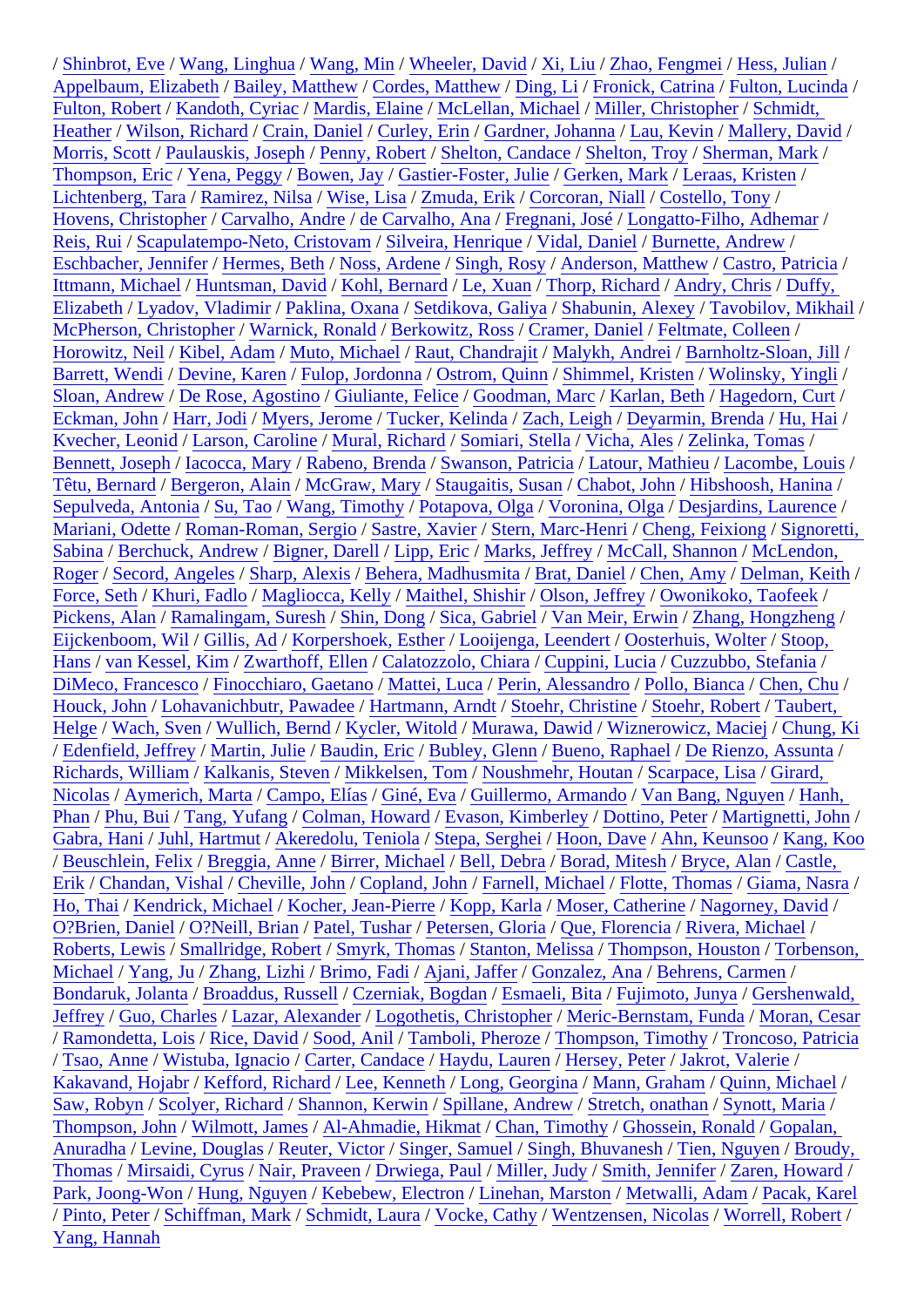Appelbaum, ElizabethBailey, Matthew Cordes, Matthew Ding, Li / Fronick, Catring Fulton, Lucinda Fulton, Robert Kandoth, Cyriad Mardis, Elaine McLellan, Michael Miller, Christopher Schmidt, Heather/ Wilson, Richard/ Crain, Daniel/ Curley, Erin/ Gardner, Johann/Lau, Kevin/ Mallery, David/ Morris, Scott/ Paulauskis, Josep/IPenny, Robert Shelton, Candact Shelton, Troy Sherman, Mark Thompson, Erid Yena, Peggy Bowen, Jay Gastier-Foster, JulikGerken, Mark Leraas, Kristen Lichtenberg, Tara Ramirez, Nilsa Wise, Lisa Zmuda, Erik Corcoran, Niall Costello, Tony Hovens, ChristopherCarvalho, Andre de Carvalho, Ana Fregnani, JoséLongatto-Filho, Adhemar Reis, Rui/ Scapulatempo-Neto, Cristova/Silveira, Henrique Vidal, Daniel/ Burnette, Andrew Eschbacher, JennifeHermes, Beth Noss, Ardene Singh, Rosy Anderson, Matthew Castro, Patricia Ittmann, Michael Huntsman, David Kohl, Bernard Le, Xuan/Thorp, Richard Andry, Chris/Duffy, Elizabeth/ Lyadov, Vladimir/ Paklina, Oxana Setdikova, Galiya Shabunin, Alexey Tavobilov, Mikhail/ McPherson, ChristopheWarnick, Ronald Berkowitz, Ross Cramer, Daniel Feltmate, Colleen Horowitz, Neil/Kibel, Adam/Muto, Michael/Raut, Chandrajit Malykh, Andrei/Barnholtz-Sloan, Jill Barrett, Wendi Devine, Karen Fulop, Jordonna Ostrom, Quinn Shimmel, Kristen Wolinsky, Yingli / Sloan, Andrew De Rose, Agostino Giuliante, Felice Goodman, Marc Karlan, Beth Hagedorn, Curt Eckman, John Harr, Jodi/ Myers, Jerome Tucker, Kelinda Zach, Leigh Deyarmin, Brenda Hu, Hai/ Kvecher, Leonid Larson, Caroline Mural, Richard Somiari, Stella Vicha, Ales/ Zelinka, Tomas Bennett, Josephlacocca, Mary Rabeno, BrendaSwanson, PatriciaLatour, Mathieu Lacombe, Louis Têtu, Bernard Bergeron, Alain McGraw, Mary/ Staugaitis, Susah Chabot, John Hibshoosh, Hanina Sepulveda, AntoniaSu, Tao Wang, Timothy Potapova, Olga Voronina, Olga Desjardins, Laurence Mariani, Odette Roman-Roman, Sergi/Gastre, Xavier Stern, Marc-Henri Cheng, Feixiong Signoretti, Sabina/Berchuck, Andrew Bigner, Darell/Lipp, Eric/Marks, Jeffrey/McCall, Shannon/McLendon, Roger/Secord, Angeles Sharp, Alexis Behera, Madhusmit a Brat, Daniel Chen, Amy Delman, Keith Force, Seth Khuri, Fadlo/Magliocca, Kelly/Maithel, Shishir/Olson, Jeffrey Owonikoko, Taofeek Pickens, Alan Ramalingam, SureshShin, Dong Sica, Gabriel Van Meir, Erwin Zhang, Hongzheng Eijckenboom, Wil/ Gillis, Ad / Korpershoek, EstherLooijenga, LeendertOosterhuis, Wolter Stoop, Hans/van Kessel, Kim Zwarthoff, Ellen/Calatozzolo, ChiaraCuppini, Lucia/Cuzzubbo, Stefania DiMeco, FrancescóFinocchiaro, GaetandMattei, Luca/ Perin, AlessandróPollo, Bianca/ Chen, Chu Houck, John Lohavanichbutr, Pawad & Hartmann, Arndt Stoehr, Christin & Stoehr, Robert Taubert, Helge/ Wach, Sven Wullich, Bernd/ Kycler, Witold/Murawa, Dawid/ Wiznerowicz, Macie/ Chung, Ki / Edenfield, Jeffrey Martin, Julie/ Baudin, Eric/ Bubley, Glenn Bueno, RaphaelDe Rienzo, Assunta Richards, William Kalkanis, Steven Mikkelsen, Tom Noushmehr, Houtan Scarpace, LisaGirard, Nicolas/Aymerich, Marta/Campo, Elías/Giné, Eva/Guillermo, Armando Van Bang, Nguyen/Hanh, Phan/Phu, Bui/Tang, Yufang/Colman, Howard Evason, Kimberley Dottino, Peter Martignetti, John Gabra, Hani Juhl, Hartmut Akeredolu, Teniola Stepa, SergheiHoon, Dave Ahn, Keunsod Kang, Koo / Beuschlein, Felix Breggia, Anne Birrer, Michael/ Bell, Debra/ Borad, Mitesh Bryce, Alan/ Castle, Erik / Chandan, Vishal Cheville, John Copland, John Farnell, Michael Flotte, Thomas Giama, Nasra Ho, Thai/ Kendrick, Michael Kocher, Jean-PierreKopp, Karla/ Moser, CatherineNagorney, David O?Brien, Daniel O?Neill, Brian/Patel, Tushal Petersen, GloriaQue, Florencia Rivera, Michael Roberts, Lewis Smallridge, Robert Smyrk, Thomas Stanton, Meliss & Thompson, Houston Torbenson, Michael/Yang, Ju/Zhang, Lizhi/Brimo, Fadi/Ajani, Jaffer/Gonzalez, And Behrens, Carmen Bondaruk, JolantaBroaddus, RussellCzerniak, Bogdan Esmaeli, Bita Fujimoto, Junya Gershenwald, Jeffrey/ Guo, Charles Lazar, Alexander Logothetis, Christopher Meric-Bernstam, Funda Moran, Cesar / Ramondetta, Lois Rice, David/Sood, Anil/Tamboli, Pheroze Thompson, Timothy Troncoso, Patricia / Tsao, Anne Wistuba, Ignacid Carter, CandaceHaydu, Lauren Hersey, Peter Jakrot, Valerie Kakavand, Hojab/ Kefford, Richard/ Lee, Kenneth/ Long, Georgina Mann, Graham/ Quinn, Michael/ Saw, Robyn Scolver, Richard Shannon, Kerwin Spillane, Andrew Stretch, onathan Synott, Maria Thompson, JohnWilmott, James Al-Ahmadie, Hikmat/ Chan, Timothy Ghossein, Ronald Gopalan, Anuradha Levine, Douglas Reuter, Victor Singer, SamuelSingh, BhuvaneshTien, Nguyer Broudy, Thomas/ Mirsaidi, Cyrus/ Nair, Praveen/ Drwiega, Paul Miller, Judy/ Smith, Jennifer Zaren, Howard Park, Joong-WonHung, Nguyen Kebebew, ElectronLinehan, Marston Metwalli, Adam/ Pacak, Karel / Pinto, Peter Schiffman, Mark Schmidt, Laura Vocke, Cathy Wentzensen, Nicola SWorrell, Robert Yang, Hannah